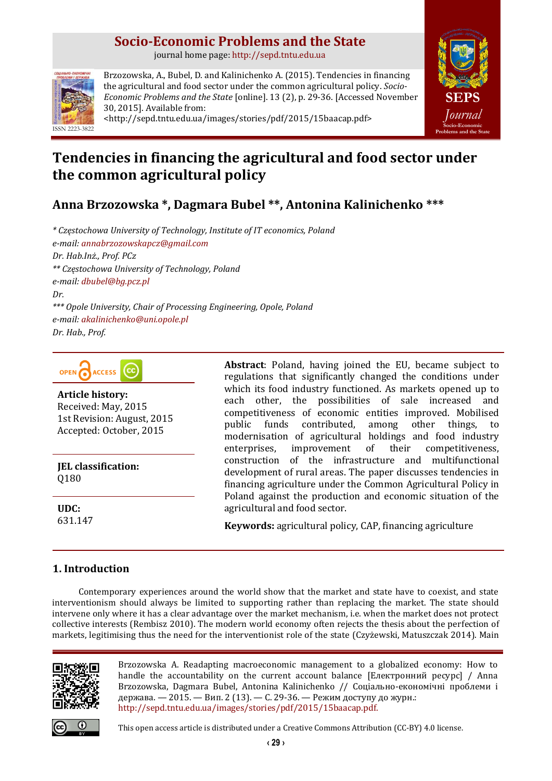# **Socio-Economic Problems and the State**

journal home page: [http://sepd.tntu.edu.ua](http://sepd.tntu.edu.ua/)



Brzozowska, A., Bubel, D. and Kalinichenko A. (2015). Tendencies in financing the agricultural and food sector under the common agricultural policy. *Socio-Economic Problems and the State* [online]. 13 (2), p. 29-36. [Accessed November 30, 2015]. Available from: <http://sepd.tntu.edu.ua/images/stories/pdf/2015/15baacap.pdf>



# **Tendencies in financing the agricultural and food sector under the common agricultural policy**

**Anna Brzozowska \*, Dagmara Bubel \*\*, Antonina Kalinichenko \*\*\***

*\* Częstochowa University of Technology, Institute of IT economics, Poland e-mail: [annabrzozowskapcz@gmail.com](mailto:annabrzozowskapcz@gmail.com) Dr. Hab.Inż., Prof. PCz \*\* Częstochowa University of Technology, Poland e-mail: [dbubel@bg.pcz.pl](mailto:dbubel@bg.pcz.pl) Dr. \*\*\* Opole University, Chair of Processing Engineering, Opole, Poland e-mail: [akalinichenko@uni.opole.pl](mailto:akalinichenko@uni.opole.pl) Dr. Hab., Prof.*



**Article history:** Received: May, 2015 1st Revision: August, 2015 Accepted: October, 2015

**JEL classification:** Q180

**UDC:** 631.147

# **1. Introduction**

**Abstract**: Poland, having joined the EU, became subject to regulations that significantly changed the conditions under which its food industry functioned. As markets opened up to each other, the possibilities of sale increased and competitiveness of economic entities improved. Mobilised public funds contributed, among other things, to modernisation of agricultural holdings and food industry enterprises, improvement of their competitiveness, construction of the infrastructure and multifunctional development of rural areas. The paper discusses tendencies in financing agriculture under the Common Agricultural Policy in Poland against the production and economic situation of the agricultural and food sector.

**Keywords:** agricultural policy, CAP, financing agriculture

Contemporary experiences around the world show that the market and state have to coexist, and state interventionism should always be limited to supporting rather than replacing the market. The state should intervene only where it has a clear advantage over the market mechanism, i.e. when the market does not protect collective interests (Rembisz 2010). The modern world economy often rejects the thesis about the perfection of markets, legitimising thus the need for the interventionist role of the state (Czyżewski, Matuszczak 2014). Main



Brzozowska A. Readapting macroeconomic management to a globalized economy: How to handle the accountability on the current account balance [Електронний ресурс] / Anna Brzozowska, Dagmara Bubel, Antonina Kalinichenko // Соціально-економічні проблеми і держава. — 2015. — Вип. 2 (13). — С. 29-36. — Режим доступу до журн.: [http://sepd.tntu.edu.ua/images/stories/pdf/2015/15baacap.pdf.](http://sepd.tntu.edu.ua/images/stories/pdf/2015/15baacap.pdf)



This open access article is distributed under [a Creative Commons Attribution \(CC-BY\) 4.0 license.](http://creativecommons.org/licenses/by/4.0/)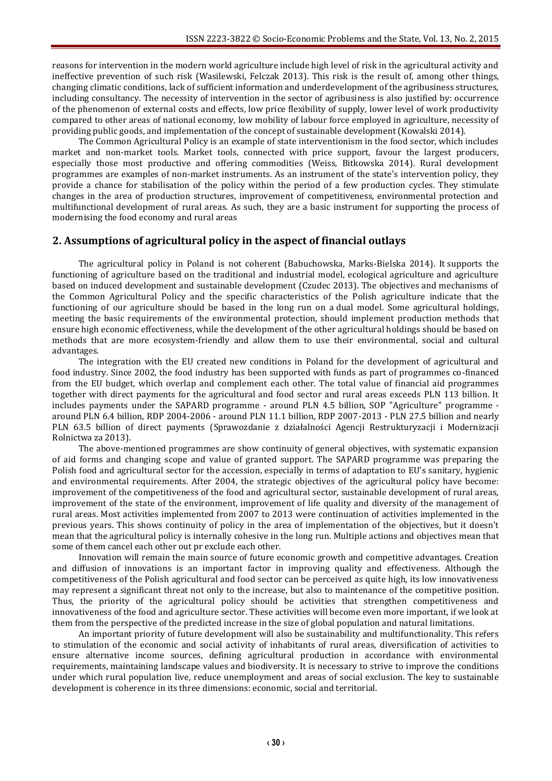reasons for intervention in the modern world agriculture include high level of risk in the agricultural activity and ineffective prevention of such risk (Wasilewski, Felczak 2013). This risk is the result of, among other things, changing climatic conditions, lack of sufficient information and underdevelopment of the agribusiness structures, including consultancy. The necessity of intervention in the sector of agribusiness is also justified by: occurrence of the phenomenon of external costs and effects, low price flexibility of supply, lower level of work productivity compared to other areas of national economy, low mobility of labour force employed in agriculture, necessity of providing public goods, and implementation of the concept of sustainable development (Kowalski 2014).

The Common Agricultural Policy is an example of state interventionism in the food sector, which includes market and non-market tools. Market tools, connected with price support, favour the largest producers, especially those most productive and offering commodities (Weiss, Bitkowska 2014). Rural development programmes are examples of non-market instruments. As an instrument of the state's intervention policy, they provide a chance for stabilisation of the policy within the period of a few production cycles. They stimulate changes in the area of production structures, improvement of competitiveness, environmental protection and multifunctional development of rural areas. As such, they are a basic instrument for supporting the process of modernising the food economy and rural areas

# **2. Assumptions of agricultural policy in the aspect of financial outlays**

The agricultural policy in Poland is not coherent (Babuchowska, Marks-Bielska 2014). It supports the functioning of agriculture based on the traditional and industrial model, ecological agriculture and agriculture based on induced development and sustainable development (Czudec 2013). The objectives and mechanisms of the Common Agricultural Policy and the specific characteristics of the Polish agriculture indicate that the functioning of our agriculture should be based in the long run on a dual model. Some agricultural holdings, meeting the basic requirements of the environmental protection, should implement production methods that ensure high economic effectiveness, while the development of the other agricultural holdings should be based on methods that are more ecosystem-friendly and allow them to use their environmental, social and cultural advantages.

The integration with the EU created new conditions in Poland for the development of agricultural and food industry. Since 2002, the food industry has been supported with funds as part of programmes co-financed from the EU budget, which overlap and complement each other. The total value of financial aid programmes together with direct payments for the agricultural and food sector and rural areas exceeds PLN 113 billion. It includes payments under the SAPARD programme - around PLN 4.5 billion, SOP "Agriculture" programme around PLN 6.4 billion, RDP 2004-2006 - around PLN 11.1 billion, RDP 2007-2013 - PLN 27.5 billion and nearly PLN 63.5 billion of direct payments (Sprawozdanie z działalności Agencji Restrukturyzacji i Modernizacji Rolnictwa za 2013).

The above-mentioned programmes are show continuity of general objectives, with systematic expansion of aid forms and changing scope and value of granted support. The SAPARD programme was preparing the Polish food and agricultural sector for the accession, especially in terms of adaptation to EU's sanitary, hygienic and environmental requirements. After 2004, the strategic objectives of the agricultural policy have become: improvement of the competitiveness of the food and agricultural sector, sustainable development of rural areas, improvement of the state of the environment, improvement of life quality and diversity of the management of rural areas. Most activities implemented from 2007 to 2013 were continuation of activities implemented in the previous years. This shows continuity of policy in the area of implementation of the objectives, but it doesn't mean that the agricultural policy is internally cohesive in the long run. Multiple actions and objectives mean that some of them cancel each other out pr exclude each other.

Innovation will remain the main source of future economic growth and competitive advantages. Creation and diffusion of innovations is an important factor in improving quality and effectiveness. Although the competitiveness of the Polish agricultural and food sector can be perceived as quite high, its low innovativeness may represent a significant threat not only to the increase, but also to maintenance of the competitive position. Thus, the priority of the agricultural policy should be activities that strengthen competitiveness and innovativeness of the food and agriculture sector. These activities will become even more important, if we look at them from the perspective of the predicted increase in the size of global population and natural limitations.

An important priority of future development will also be sustainability and multifunctionality. This refers to stimulation of the economic and social activity of inhabitants of rural areas, diversification of activities to ensure alternative income sources, defining agricultural production in accordance with environmental requirements, maintaining landscape values and biodiversity. It is necessary to strive to improve the conditions under which rural population live, reduce unemployment and areas of social exclusion. The key to sustainable development is coherence in its three dimensions: economic, social and territorial.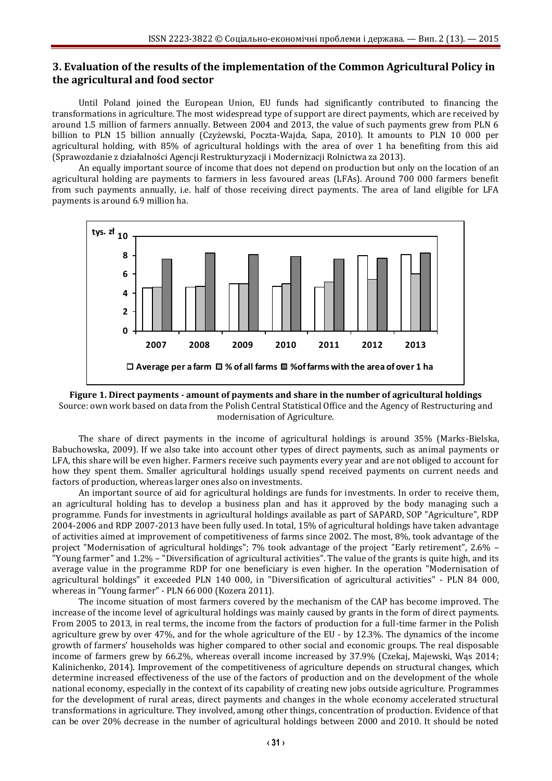# **3. Evaluation of the results of the implementation of the Common Agricultural Policy in the agricultural and food sector**

Until Poland joined the European Union, EU funds had significantly contributed to financing the transformations in agriculture. The most widespread type of support are direct payments, which are received by around 1.5 million of farmers annually. Between 2004 and 2013, the value of such payments grew from PLN 6 billion to PLN 15 billion annually (Czyżewski, Poczta-Wajda, Sapa, 2010). It amounts to PLN 10 000 per agricultural holding, with 85% of agricultural holdings with the area of over 1 ha benefiting from this aid (Sprawozdanie z działalności Agencji Restrukturyzacji i Modernizacji Rolnictwa za 2013).

An equally important source of income that does not depend on production but only on the location of an agricultural holding are payments to farmers in less favoured areas (LFAs). Around 700 000 farmers benefit from such payments annually, i.e. half of those receiving direct payments. The area of land eligible for LFA payments is around 6.9 million ha.



**Figure 1. Direct payments - amount of payments and share in the number of agricultural holdings** Source: own work based on data from the Polish Central Statistical Office and the Agency of Restructuring and modernisation of Agriculture.

The share of direct payments in the income of agricultural holdings is around 35% (Marks-Bielska, Babuchowska, 2009). If we also take into account other types of direct payments, such as animal payments or LFA, this share will be even higher. Farmers receive such payments every year and are not obliged to account for how they spent them. Smaller agricultural holdings usually spend received payments on current needs and factors of production, whereas larger ones also on investments.

An important source of aid for agricultural holdings are funds for investments. In order to receive them, an agricultural holding has to develop a business plan and has it approved by the body managing such a programme. Funds for investments in agricultural holdings available as part of SAPARD, SOP "Agriculture", RDP 2004-2006 and RDP 2007-2013 have been fully used. In total, 15% of agricultural holdings have taken advantage of activities aimed at improvement of competitiveness of farms since 2002. The most, 8%, took advantage of the project "Modernisation of agricultural holdings"; 7% took advantage of the project "Early retirement", 2.6% – "Young farmer" and 1.2% – "Diversification of agricultural activities". The value of the grants is quite high, and its average value in the programme RDP for one beneficiary is even higher. In the operation "Modernisation of agricultural holdings" it exceeded PLN 140 000, in "Diversification of agricultural activities" - PLN 84 000, whereas in "Young farmer" - PLN 66 000 (Kozera 2011).

The income situation of most farmers covered by the mechanism of the CAP has become improved. The increase of the income level of agricultural holdings was mainly caused by grants in the form of direct payments. From 2005 to 2013, in real terms, the income from the factors of production for a full-time farmer in the Polish agriculture grew by over 47%, and for the whole agriculture of the EU - by 12.3%. The dynamics of the income growth of farmers' households was higher compared to other social and economic groups. The real disposable income of farmers grew by 66.2%, whereas overall income increased by 37.9% (Czekaj, Majewski, Wąs 2014; Kalinichenko, 2014). Improvement of the competitiveness of agriculture depends on structural changes, which determine increased effectiveness of the use of the factors of production and on the development of the whole national economy, especially in the context of its capability of creating new jobs outside agriculture. Programmes for the development of rural areas, direct payments and changes in the whole economy accelerated structural transformations in agriculture. They involved, among other things, concentration of production. Evidence of that can be over 20% decrease in the number of agricultural holdings between 2000 and 2010. It should be noted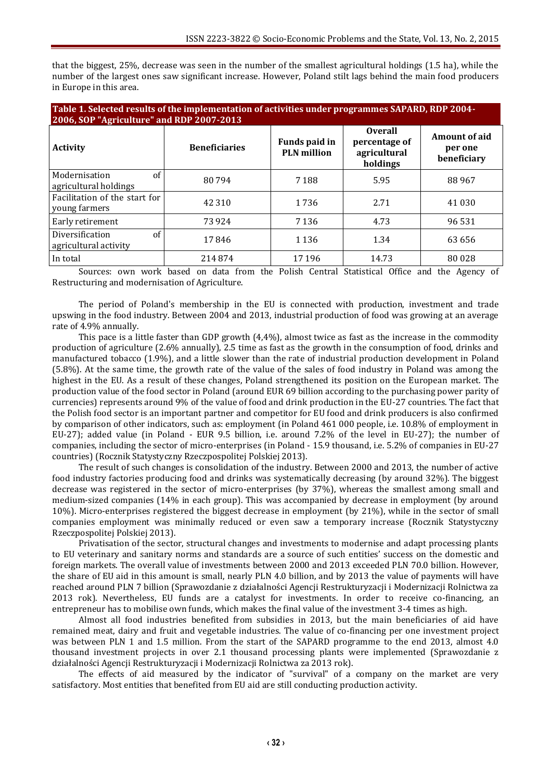that the biggest, 25%, decrease was seen in the number of the smallest agricultural holdings (1.5 ha), while the number of the largest ones saw significant increase. However, Poland stilt lags behind the main food producers in Europe in this area.

| Table 1. Selected results of the implementation of activities under programmes SAPARD, RDP 2004-<br>2006, SOP "Agriculture" and RDP 2007-2013 |                      |                                     |                                                             |                                         |
|-----------------------------------------------------------------------------------------------------------------------------------------------|----------------------|-------------------------------------|-------------------------------------------------------------|-----------------------------------------|
| <b>Activity</b>                                                                                                                               | <b>Beneficiaries</b> | Funds paid in<br><b>PLN</b> million | <b>Overall</b><br>percentage of<br>agricultural<br>holdings | Amount of aid<br>per one<br>beneficiary |
| of<br>Modernisation<br>agricultural holdings                                                                                                  | 80794                | 7188                                | 5.95                                                        | 88967                                   |
| Facilitation of the start for<br>young farmers                                                                                                | 42 310               | 1736                                | 2.71                                                        | 41 0 30                                 |
| Early retirement                                                                                                                              | 73924                | 7 1 3 6                             | 4.73                                                        | 96 531                                  |
| of<br>Diversification<br>agricultural activity                                                                                                | 17846                | 1 1 3 6                             | 1.34                                                        | 63 656                                  |
| In total                                                                                                                                      | 214874               | 17196                               | 14.73                                                       | 80 0 28                                 |

Sources: own work based on data from the Polish Central Statistical Office and the Agency of Restructuring and modernisation of Agriculture.

The period of Poland's membership in the EU is connected with production, investment and trade upswing in the food industry. Between 2004 and 2013, industrial production of food was growing at an average rate of 4.9% annually.

This pace is a little faster than GDP growth (4,4%), almost twice as fast as the increase in the commodity production of agriculture (2.6% annually), 2.5 time as fast as the growth in the consumption of food, drinks and manufactured tobacco (1.9%), and a little slower than the rate of industrial production development in Poland (5.8%). At the same time, the growth rate of the value of the sales of food industry in Poland was among the highest in the EU. As a result of these changes, Poland strengthened its position on the European market. The production value of the food sector in Poland (around EUR 69 billion according to the purchasing power parity of currencies) represents around 9% of the value of food and drink production in the EU-27 countries. The fact that the Polish food sector is an important partner and competitor for EU food and drink producers is also confirmed by comparison of other indicators, such as: employment (in Poland 461 000 people, i.e. 10.8% of employment in EU-27); added value (in Poland - EUR 9.5 billion, i.e. around 7.2% of the level in EU-27); the number of companies, including the sector of micro-enterprises (in Poland - 15.9 thousand, i.e. 5.2% of companies in EU-27 countries) (Rocznik Statystyczny Rzeczpospolitej Polskiej 2013).

The result of such changes is consolidation of the industry. Between 2000 and 2013, the number of active food industry factories producing food and drinks was systematically decreasing (by around 32%). The biggest decrease was registered in the sector of micro-enterprises (by 37%), whereas the smallest among small and medium-sized companies (14% in each group). This was accompanied by decrease in employment (by around 10%). Micro-enterprises registered the biggest decrease in employment (by 21%), while in the sector of small companies employment was minimally reduced or even saw a temporary increase (Rocznik Statystyczny Rzeczpospolitej Polskiej 2013).

Privatisation of the sector, structural changes and investments to modernise and adapt processing plants to EU veterinary and sanitary norms and standards are a source of such entities' success on the domestic and foreign markets. The overall value of investments between 2000 and 2013 exceeded PLN 70.0 billion. However, the share of EU aid in this amount is small, nearly PLN 4.0 billion, and by 2013 the value of payments will have reached around PLN 7 billion (Sprawozdanie z działalności Agencji Restrukturyzacji i Modernizacji Rolnictwa za 2013 rok). Nevertheless, EU funds are a catalyst for investments. In order to receive co-financing, an entrepreneur has to mobilise own funds, which makes the final value of the investment 3-4 times as high.

Almost all food industries benefited from subsidies in 2013, but the main beneficiaries of aid have remained meat, dairy and fruit and vegetable industries. The value of co-financing per one investment project was between PLN 1 and 1.5 million. From the start of the SAPARD programme to the end 2013, almost 4.0 thousand investment projects in over 2.1 thousand processing plants were implemented (Sprawozdanie z działalności Agencji Restrukturyzacji i Modernizacji Rolnictwa za 2013 rok).

The effects of aid measured by the indicator of "survival" of a company on the market are very satisfactory. Most entities that benefited from EU aid are still conducting production activity.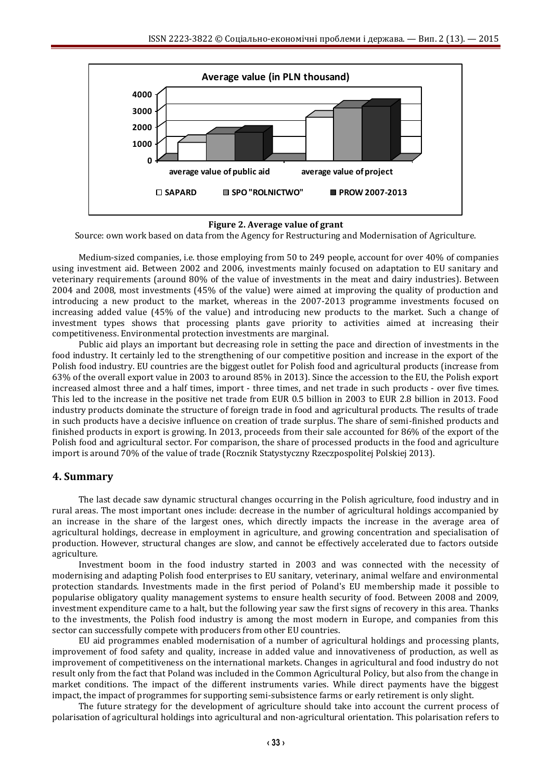

**Figure 2. Average value of grant**

Source: own work based on data from the Agency for Restructuring and Modernisation of Agriculture.

Medium-sized companies, i.e. those employing from 50 to 249 people, account for over 40% of companies using investment aid. Between 2002 and 2006, investments mainly focused on adaptation to EU sanitary and veterinary requirements (around 80% of the value of investments in the meat and dairy industries). Between 2004 and 2008, most investments (45% of the value) were aimed at improving the quality of production and introducing a new product to the market, whereas in the 2007-2013 programme investments focused on increasing added value (45% of the value) and introducing new products to the market. Such a change of investment types shows that processing plants gave priority to activities aimed at increasing their competitiveness. Environmental protection investments are marginal.

Public aid plays an important but decreasing role in setting the pace and direction of investments in the food industry. It certainly led to the strengthening of our competitive position and increase in the export of the Polish food industry. EU countries are the biggest outlet for Polish food and agricultural products (increase from 63% of the overall export value in 2003 to around 85% in 2013). Since the accession to the EU, the Polish export increased almost three and a half times, import - three times, and net trade in such products - over five times. This led to the increase in the positive net trade from EUR 0.5 billion in 2003 to EUR 2.8 billion in 2013. Food industry products dominate the structure of foreign trade in food and agricultural products. The results of trade in such products have a decisive influence on creation of trade surplus. The share of semi-finished products and finished products in export is growing. In 2013, proceeds from their sale accounted for 86% of the export of the Polish food and agricultural sector. For comparison, the share of processed products in the food and agriculture import is around 70% of the value of trade (Rocznik Statystyczny Rzeczpospolitej Polskiej 2013).

## **4. Summary**

The last decade saw dynamic structural changes occurring in the Polish agriculture, food industry and in rural areas. The most important ones include: decrease in the number of agricultural holdings accompanied by an increase in the share of the largest ones, which directly impacts the increase in the average area of agricultural holdings, decrease in employment in agriculture, and growing concentration and specialisation of production. However, structural changes are slow, and cannot be effectively accelerated due to factors outside agriculture.

Investment boom in the food industry started in 2003 and was connected with the necessity of modernising and adapting Polish food enterprises to EU sanitary, veterinary, animal welfare and environmental protection standards. Investments made in the first period of Poland's EU membership made it possible to popularise obligatory quality management systems to ensure health security of food. Between 2008 and 2009, investment expenditure came to a halt, but the following year saw the first signs of recovery in this area. Thanks to the investments, the Polish food industry is among the most modern in Europe, and companies from this sector can successfully compete with producers from other EU countries.

EU aid programmes enabled modernisation of a number of agricultural holdings and processing plants, improvement of food safety and quality, increase in added value and innovativeness of production, as well as improvement of competitiveness on the international markets. Changes in agricultural and food industry do not result only from the fact that Poland was included in the Common Agricultural Policy, but also from the change in market conditions. The impact of the different instruments varies. While direct payments have the biggest impact, the impact of programmes for supporting semi-subsistence farms or early retirement is only slight.

The future strategy for the development of agriculture should take into account the current process of polarisation of agricultural holdings into agricultural and non-agricultural orientation. This polarisation refers to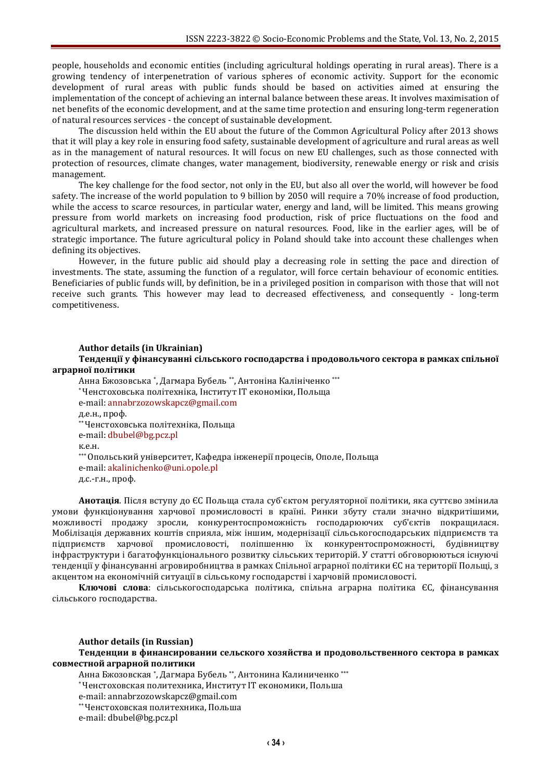people, households and economic entities (including agricultural holdings operating in rural areas). There is a growing tendency of interpenetration of various spheres of economic activity. Support for the economic development of rural areas with public funds should be based on activities aimed at ensuring the implementation of the concept of achieving an internal balance between these areas. It involves maximisation of net benefits of the economic development, and at the same time protection and ensuring long-term regeneration of natural resources services - the concept of sustainable development.

The discussion held within the EU about the future of the Common Agricultural Policy after 2013 shows that it will play a key role in ensuring food safety, sustainable development of agriculture and rural areas as well as in the management of natural resources. It will focus on new EU challenges, such as those connected with protection of resources, climate changes, water management, biodiversity, renewable energy or risk and crisis management.

The key challenge for the food sector, not only in the EU, but also all over the world, will however be food safety. The increase of the world population to 9 billion by 2050 will require a 70% increase of food production, while the access to scarce resources, in particular water, energy and land, will be limited. This means growing pressure from world markets on increasing food production, risk of price fluctuations on the food and agricultural markets, and increased pressure on natural resources. Food, like in the earlier ages, will be of strategic importance. The future agricultural policy in Poland should take into account these challenges when defining its objectives.

However, in the future public aid should play a decreasing role in setting the pace and direction of investments. The state, assuming the function of a regulator, will force certain behaviour of economic entities. Beneficiaries of public funds will, by definition, be in a privileged position in comparison with those that will not receive such grants. This however may lead to decreased effectiveness, and consequently - long-term competitiveness.

#### **Author details (in Ukrainian)**

**Тенденції у фінансуванні сільського господарства і продовольчого сектора в рамках спільної аграрної політики**

Анна Бжозовська \* , Дагмара Бубель \*\*, Антоніна Калініченко \*\*\* \*Ченстоховська політехніка, Інститут IT економіки, Польща e-mail: [annabrzozowskapcz@gmail.com](mailto:annabrzozowskapcz@gmail.com) д.е.н., проф. \*\*Ченстоховська політехніка, Польща e-mail: [dbubel@bg.pcz.pl](mailto:dbubel@bg.pcz.pl) к.е.н. \*\*\*Опольський університет, Кафедра інженерії процесів, Ополе, Польща e-mail: [akalinichenko@uni.opole.pl](mailto:akalinichenko@uni.opole.pl) д.с.-г.н., проф.

**Анотація**. Після вступу до ЄС Польща стала суб`єктом регуляторної політики, яка суттєво змінила умови функціонування харчової промисловості в країні. Ринки збуту стали значно відкритішими, можливості продажу зросли, конкурентоспроможність господарюючих суб'єктів покращилася. Мобілізація державних коштів сприяла, між іншим, модернізації сільськогосподарських підприємств та підприємств харчової промисловості, поліпшенню їх конкурентоспроможності, будівництву інфраструктури і багатофункціонального розвитку сільських територій. У статті обговорюються існуючі тенденції у фінансуванні агровиробництва в рамках Спільної аграрної політики ЄС на території Польщі, з акцентом на економічній ситуації в сільському господарстві і харчовій промисловості.

**Ключові слова**: сільськогосподарська політика, спільна аграрна політика ЄС, фінансування сільського господарства.

#### **Author details (in Russian)**

**Тенденции в финансировании сельского хозяйства и продовольственного сектора в рамках совместной аграрной политики**

Анна Бжозовская \* , Дагмара Бубель \*\* , Антонина Калиниченко \*\*\*

\*Ченстоховская политехника, Институт IT економики, Польша

e-mail: [annabrzozowskapcz@gmail.com](mailto:annabrzozowskapcz@gmail.com)

\*\*Ченстоховская политехника, Польша

e-mail: dbubel@bg.pcz.pl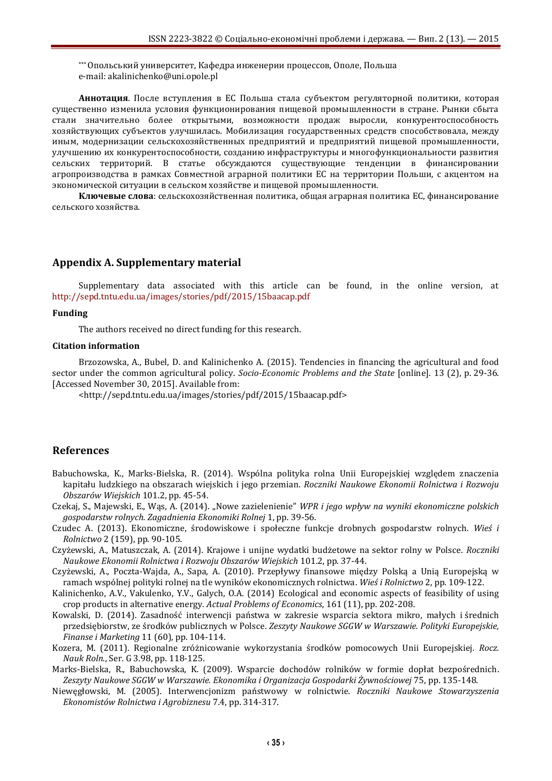\*\*\*Опольський университет, Кафедра инженерии процессов, Ополе, Польша e-mail: akalinichenko@uni.opole.pl

**Аннотация**. После вступления в ЕС Польша стала субъектом регуляторной политики, которая существенно изменила условия функционирования пищевой промышленности в стране. Рынки сбыта стали значительно более открытыми, возможности продаж выросли, конкурентоспособность хозяйствующих субъектов улучшилась. Мобилизация государственных средств способствовала, между иным, модернизации сельскохозяйственных предприятий и предприятий пищевой промышленности, улучшению их конкурентоспособности, созданию инфраструктуры и многофункциональности развития сельских территорий. В статье обсуждаются существующие тенденции в финансировании агропроизводства в рамках Совместной аграрной политики ЕС на территории Польши, с акцентом на экономической ситуации в сельском хозяйстве и пищевой промышленности.

**Ключевые слова**: сельскохозяйственная политика, общая аграрная политика ЕС, финансирование сельского хозяйства.

## **Appendix A. Supplementary material**

Supplementary data associated with this article can be found, in the online version, at <http://sepd.tntu.edu.ua/images/stories/pdf/2015/15baacap.pdf>

#### **Funding**

The authors received no direct funding for this research.

#### **Citation information**

Brzozowska, A., Bubel, D. and Kalinichenko A. (2015). Tendencies in financing the agricultural and food sector under the common agricultural policy. *Socio-Economic Problems and the State* [online]. 13 (2), p. 29-36. [Accessed November 30, 2015]. Available from:

<http://sepd.tntu.edu.ua/images/stories/pdf/2015/15baacap.pdf>

## **References**

- Babuchowska, K., Marks-Bielska, R. (2014). Wspólna polityka rolna Unii Europejskiej względem znaczenia kapitału ludzkiego na obszarach wiejskich i jego przemian. *Roczniki Naukowe Ekonomii Rolnictwa i Rozwoju Obszarów Wiejskich* 101.2, pp. 45-54.
- Czekaj, S., Majewski, E., Wąs, A. (2014). "Nowe zazielenienie" *WPR i jego wpływ na wyniki ekonomiczne polskich gospodarstw rolnych. Zagadnienia Ekonomiki Rolnej* 1, pp. 39-56.
- Czudec A. (2013). Ekonomiczne, środowiskowe i społeczne funkcje drobnych gospodarstw rolnych. *Wieś i Rolnictwo* 2 (159), pp. 90-105.
- Czyżewski, A., Matuszczak, A. (2014). Krajowe i unijne wydatki budżetowe na sektor rolny w Polsce. *Roczniki Naukowe Ekonomii Rolnictwa i Rozwoju Obszarów Wiejskich* 101.2, pp. 37-44.
- Czyżewski, A., Poczta-Wajda, A., Sapa, A. (2010). Przepływy finansowe między Polską a Unią Europejską w ramach wspólnej polityki rolnej na tle wyników ekonomicznych rolnictwa. *Wieś i Rolnictwo* 2, pp. 109-122.
- Kalinichenko, A.V., Vakulenko, Y.V., Galych, O.A. (2014) Ecological and economic aspects of feasibility of using crop products in alternative energy*. Actual Problems of Economics*, 161 (11), pp. 202-208.
- Kowalski, D. (2014). Zasadność interwencji państwa w zakresie wsparcia sektora mikro, małych i średnich przedsiębiorstw, ze środków publicznych w Polsce. *Zeszyty Naukowe SGGW w Warszawie. Polityki Europejskie, Finanse i Marketing* 11 (60), pp. 104-114.
- Kozera, M. (2011). Regionalne zróżnicowanie wykorzystania środków pomocowych Unii Europejskiej*. Rocz. Nauk Roln.*, Ser. G 3.98, pp. 118-125.
- Marks-Bielska, R., Babuchowska, K. (2009). Wsparcie dochodów rolników w formie dopłat bezpośrednich. *Zeszyty Naukowe SGGW w Warszawie. Ekonomika i Organizacja Gospodarki Żywnościowej* 75, pp. 135-148.
- Niewęgłowski, M. (2005). Interwencjonizm państwowy w rolnictwie. *Roczniki Naukowe Stowarzyszenia Ekonomistów Rolnictwa i Agrobiznesu* 7.4, pp. 314-317.